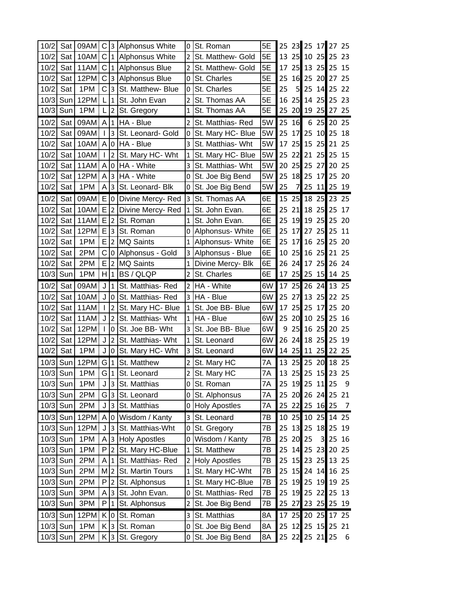| 10/2 | Sat        | 09AM |              |                | C 3 Alphonsus White | 0              | St. Roman            | 5E | 25 |                 |                |       | 23 25 17 27 25 |                |
|------|------------|------|--------------|----------------|---------------------|----------------|----------------------|----|----|-----------------|----------------|-------|----------------|----------------|
| 10/2 | Sat        | 10AM | C            |                | 1 Alphonsus White   | $\overline{2}$ | St. Matthew- Gold    | 5E | 13 |                 | 25 10          | 25    | 25             | 23             |
| 10/2 | Sat        | 11AM | С            |                | 1 Alphonsus Blue    | 2              | St. Matthew- Gold    | 5E | 17 |                 | $25$ 13        | 25    | 25             | 15             |
| 10/2 | Sat        | 12PM | C            |                | 3 Alphonsus Blue    | 0              | St. Charles          | 5E | 25 |                 | 16 25          | 20    | 27             | 25             |
| 10/2 | Sat        | 1PM  | C            | 3              | St. Matthew- Blue   | 0              | St. Charles          | 5E | 25 | 5               | 25             | 14    | 25             | 22             |
| 10/3 | Sun        | 12PM | L            | $\mathbf{1}$   | St. John Evan       | $\overline{2}$ | St. Thomas AA        | 5E | 16 | 25              | 14             | 25    | 25             | 23             |
| 10/3 | Sun        | 1PM  | L            | $\overline{2}$ | St. Gregory         | $\mathbf{1}$   | St. Thomas AA        | 5E | 25 |                 | 20 19          | 25    | 27             | 25             |
| 10/2 | Sat        | 09AM | A            | $\mathbf{1}$   | HA - Blue           | 2              | St. Matthias-Red     | 5W | 25 | 16              | 6              | 25    | 20             | 25             |
| 10/2 | Sat        | 09AM |              | $\overline{3}$ | St. Leonard- Gold   | 0              | St. Mary HC- Blue    | 5W | 25 | 17 <sup>l</sup> | 25             | 10    | 25             | 18             |
| 10/2 | Sat        | 10AM | A            |                | 0   HA - Blue       | 3              | St. Matthias- Wht    | 5W | 17 | 25              | 15             | 25    | 21             | 25             |
| 10/2 | Sat        | 10AM | $\mathbf{I}$ | $2^{\circ}$    | St. Mary HC- Wht    | $\mathbf{1}$   | St. Mary HC- Blue    | 5W | 25 | 22              | 21             | 25    | 25             | 15             |
| 10/2 | Sat        | 11AM | A            | 0              | HA - White          | 3              | St. Matthias- Wht    | 5W | 20 | 25              | 25             | 27    | 20             | 25             |
| 10/2 | Sat        | 12PM | A            | 3 <sup>1</sup> | HA - White          | 0              | St. Joe Big Bend     | 5W | 25 | 18              | 25             | 17    | 25             | 20             |
| 10/2 | Sat        | 1PM  | A            | 3              | St. Leonard- Blk    | 0              | St. Joe Big Bend     | 5W | 25 | 7               | 25             | 11    | 25             | 19             |
| 10/2 | Sat        | 09AM | E.           | $\overline{0}$ | Divine Mercy-Red    | 3              | St. Thomas AA        | 6E | 15 | 25              | 18             | 25    | 23             | 25             |
| 10/2 | Sat        | 10AM | E            | $2^{\circ}$    | Divine Mercy-Red    | $\mathbf{1}$   | St. John Evan.       | 6E | 25 | 21              | 18             | 25    | 25             | 17             |
| 10/2 | Sat        | 11AM | Е            | $\overline{2}$ | St. Roman           | $\mathbf{1}$   | St. John Evan.       | 6E | 25 |                 | 19 19          | 25    | 25             | 20             |
| 10/2 | Sat        | 12PM | E            | 3              | St. Roman           | 0              | Alphonsus- White     | 6E | 25 | 17 <sup>°</sup> | 27             | 25    | 25             | 11             |
| 10/2 | Sat        | 1PM  | Е            | $\overline{2}$ | <b>MQ Saints</b>    | 1              | Alphonsus- White     | 6E | 25 | 17 <sup>°</sup> | 16             | 25    | 25             | 20             |
| 10/2 | Sat        | 2PM  | С            | 0 I            | Alphonsus - Gold    | 3              | Alphonsus - Blue     | 6E | 10 |                 | $25$ 16        | 25    | 21 25          |                |
| 10/2 | Sat        | 2PM  | E            | $\overline{2}$ | <b>MQ Saints</b>    | $\mathbf{1}$   | Divine Mercy- Blk    | 6E | 26 |                 | $24$ 17        | 25    | 26             | -24            |
| 10/3 | Sun        | 1PM  | H.           | $\mathbf{1}$   | <b>BS/QLQP</b>      | $\overline{2}$ | St. Charles          | 6E | 17 |                 | $25$ 25        | 15    | 14 25          |                |
| 10/2 | Sat        | 09AM | J            | $\mathbf{1}$   | St. Matthias-Red    | $\overline{2}$ | HA - White           | 6W | 17 |                 | $25$ 26        | 24    | 13 25          |                |
| 10/2 | Sat        | 10AM | J            | 0              | St. Matthias-Red    | 3              | HA - Blue            | 6W | 25 | 27              | 13             | 25    | 22             | 25             |
| 10/2 | Sat        | 11AM | $\mathbf{I}$ | $\overline{2}$ | St. Mary HC- Blue   | $\mathbf{1}$   | St. Joe BB- Blue     | 6W | 17 | 25              | 25             | 17    | 25             | 20             |
| 10/2 | Sat        | 11AM | J            | 2              | St. Matthias- Wht   | 1              | HA - Blue            | 6W | 25 | 20              | 10             | 25    | 25             | 16             |
| 10/2 | Sat        | 12PM | L            | 0              | St. Joe BB- Wht     | 3              | St. Joe BB- Blue     | 6W | 9  |                 | 25 16          | 25    | 20             | 25             |
| 10/2 | Sat        | 12PM | J            | $\overline{2}$ | St. Matthias- Wht   | $\mathbf{1}$   | St. Leonard          | 6W | 26 |                 | $24$ 18        | 25    | 25             | 19             |
| 10/2 | Sat        | 1PM  | J            | 0              | St. Mary HC- Wht    | 3              | St. Leonard          | 6W | 14 |                 | 25 11 25       |       | 22 25          |                |
| 10/3 | Sun        | 12PM | G 1          |                | St. Matthew         | $\overline{2}$ | St. Mary HC          | 7Α | 13 |                 | 25 25 20       |       | 18 25          |                |
| 10/3 | Sun        | 1PM  |              |                | G 1 St. Leonard     | $\overline{2}$ | St. Mary HC          | 7Α | 13 |                 |                |       | 25 25 15 23 25 |                |
|      | 10/3 Sun   | 1PM  | J            | 3              | St. Matthias        | 0              | St. Roman            | 7A | 25 |                 | 19 25 11 25    |       |                | - 9            |
|      | $10/3$ Sun | 2PM  | G            | $\mathbf{3}$   | St. Leonard         | 0              | St. Alphonsus        | 7Α |    |                 |                |       | 25 20 26 24 25 | 21             |
|      | 10/3 Sun   | 2PM  | J            | 3 <sup>1</sup> | St. Matthias        | 0              | <b>Holy Apostles</b> | 7Α |    |                 | 25 22 25 16 25 |       |                | $\overline{7}$ |
| 10/3 | Sun        | 12PM | A            | 0              | Wisdom / Kanty      | 3              | St. Leonard          | 7В | 10 |                 | 25 10 25       |       | 14 25          |                |
|      | 10/3 Sun   | 12PM | J            | 3 <sup>1</sup> | St. Matthias-Wht    | 0              | St. Gregory          | 7В | 25 |                 | 13 25          | 18    | 25 19          |                |
|      | 10/3 Sun   | 1PM  | Α            |                | 3 Holy Apostles     | 0              | Wisdom / Kanty       | 7В | 25 |                 | 20 25          | 3     | 25             | 16             |
|      | 10/3 Sun   | 1PM  | P            | $\overline{2}$ | St. Mary HC-Blue    | $\mathbf{1}$   | St. Matthew          | 7B | 25 |                 | $14$ 25        |       | 23 20 25       |                |
| 10/3 | Sun        | 2PM  | A            | $\mathbf{1}$   | St. Matthias-Red    | 2 <sup>1</sup> | <b>Holy Apostles</b> | 7B | 25 |                 | 15 23          | 25    | 13 25          |                |
|      | $10/3$ Sun | 2PM  | М            | $\overline{2}$ | St. Martin Tours    | $\mathbf{1}$   | St. Mary HC-Wht      | 7Β | 25 |                 | 15 24          |       | 14 16 25       |                |
|      | 10/3 Sun   | 2PM  | P            | 2              | St. Alphonsus       | $\mathbf{1}$   | St. Mary HC-Blue     | 7B | 25 |                 | 19 25          | 19    | 19 25          |                |
|      | $10/3$ Sun | 3PM  | Α            | 3              | St. John Evan.      | 0              | St. Matthias-Red     | 7B | 25 |                 | 19 25          | 22    | 25 13          |                |
|      | $10/3$ Sun | 3PM  | P            | $\mathbf{1}$   | St. Alphonsus       | $\overline{2}$ | St. Joe Big Bend     | 7B | 25 |                 |                |       | 27 23 25 25 19 |                |
|      | 10/3 Sun   | 12PM | K            | 0              | St. Roman           | 3              | St. Matthias         | 8A | 17 |                 |                |       | 25 20 25 17 25 |                |
|      | $10/3$ Sun | 1PM  | Κ            | 3              | St. Roman           | 0              | St. Joe Big Bend     | 8A | 25 |                 |                |       | 12 25 15 25 21 |                |
|      | $10/3$ Sun | 2PM  | K.           | $\mathbf{3}$   | St. Gregory         | 0              | St. Joe Big Bend     | 8A |    | 25 22           |                | 25 21 | 25             | 6              |
|      |            |      |              |                |                     |                |                      |    |    |                 |                |       |                |                |